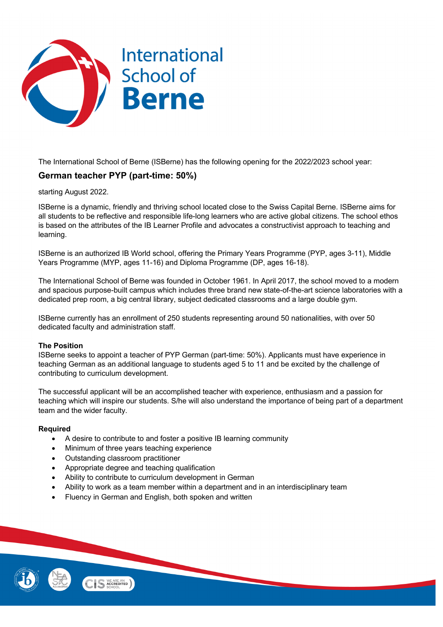

The International School of Berne (ISBerne) has the following opening for the 2022/2023 school year:

# **German teacher PYP (part-time: 50%)**

starting August 2022.

ISBerne is a dynamic, friendly and thriving school located close to the Swiss Capital Berne. ISBerne aims for all students to be reflective and responsible life-long learners who are active global citizens. The school ethos is based on the attributes of the IB Learner Profile and advocates a constructivist approach to teaching and learning.

ISBerne is an authorized IB World school, offering the Primary Years Programme (PYP, ages 3-11), Middle Years Programme (MYP, ages 11-16) and Diploma Programme (DP, ages 16-18).

The International School of Berne was founded in October 1961. In April 2017, the school moved to a modern and spacious purpose-built campus which includes three brand new state-of-the-art science laboratories with a dedicated prep room, a big central library, subject dedicated classrooms and a large double gym.

ISBerne currently has an enrollment of 250 students representing around 50 nationalities, with over 50 dedicated faculty and administration staff.

## **The Position**

ISBerne seeks to appoint a teacher of PYP German (part-time: 50%). Applicants must have experience in teaching German as an additional language to students aged 5 to 11 and be excited by the challenge of contributing to curriculum development.

The successful applicant will be an accomplished teacher with experience, enthusiasm and a passion for teaching which will inspire our students. S/he will also understand the importance of being part of a department team and the wider faculty.

## **Required**

- A desire to contribute to and foster a positive IB learning community
- Minimum of three years teaching experience
- Outstanding classroom practitioner
- Appropriate degree and teaching qualification
- Ability to contribute to curriculum development in German
- Ability to work as a team member within a department and in an interdisciplinary team
- Fluency in German and English, both spoken and written